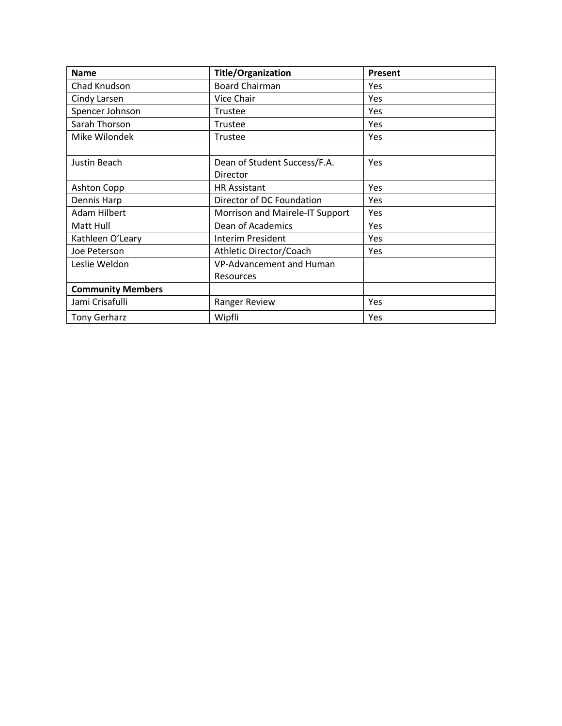| <b>Name</b>              | <b>Title/Organization</b>       | Present |
|--------------------------|---------------------------------|---------|
| Chad Knudson             | <b>Board Chairman</b>           | Yes     |
| Cindy Larsen             | Vice Chair                      | Yes     |
| Spencer Johnson          | <b>Trustee</b>                  | Yes     |
| Sarah Thorson            | Trustee                         | Yes     |
| Mike Wilondek            | <b>Trustee</b>                  | Yes     |
|                          |                                 |         |
| Justin Beach             | Dean of Student Success/F.A.    | Yes     |
|                          | Director                        |         |
| Ashton Copp              | <b>HR Assistant</b>             | Yes     |
| Dennis Harp              | Director of DC Foundation       | Yes     |
| <b>Adam Hilbert</b>      | Morrison and Mairele-IT Support | Yes     |
| Matt Hull                | Dean of Academics               | Yes     |
| Kathleen O'Leary         | <b>Interim President</b>        | Yes     |
| Joe Peterson             | Athletic Director/Coach         | Yes     |
| Leslie Weldon            | VP-Advancement and Human        |         |
|                          | <b>Resources</b>                |         |
| <b>Community Members</b> |                                 |         |
| Jami Crisafulli          | Ranger Review                   | Yes     |
| <b>Tony Gerharz</b>      | Wipfli                          | Yes     |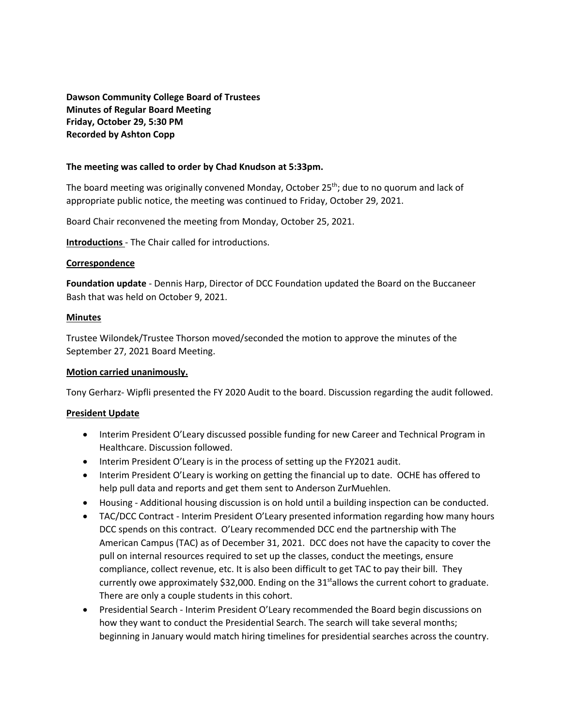**Dawson Community College Board of Trustees Minutes of Regular Board Meeting Friday, October 29, 5:30 PM Recorded by Ashton Copp**

#### **The meeting was called to order by Chad Knudson at 5:33pm.**

The board meeting was originally convened Monday, October 25<sup>th</sup>; due to no quorum and lack of appropriate public notice, the meeting was continued to Friday, October 29, 2021.

Board Chair reconvened the meeting from Monday, October 25, 2021.

**Introductions** - The Chair called for introductions.

#### **Correspondence**

**Foundation update** - Dennis Harp, Director of DCC Foundation updated the Board on the Buccaneer Bash that was held on October 9, 2021.

#### **Minutes**

Trustee Wilondek/Trustee Thorson moved/seconded the motion to approve the minutes of the September 27, 2021 Board Meeting.

## **Motion carried unanimously.**

Tony Gerharz- Wipfli presented the FY 2020 Audit to the board. Discussion regarding the audit followed.

## **President Update**

- Interim President O'Leary discussed possible funding for new Career and Technical Program in Healthcare. Discussion followed.
- Interim President O'Leary is in the process of setting up the FY2021 audit.
- Interim President O'Leary is working on getting the financial up to date. OCHE has offered to help pull data and reports and get them sent to Anderson ZurMuehlen.
- Housing Additional housing discussion is on hold until a building inspection can be conducted.
- TAC/DCC Contract Interim President O'Leary presented information regarding how many hours DCC spends on this contract. O'Leary recommended DCC end the partnership with The American Campus (TAC) as of December 31, 2021. DCC does not have the capacity to cover the pull on internal resources required to set up the classes, conduct the meetings, ensure compliance, collect revenue, etc. It is also been difficult to get TAC to pay their bill. They currently owe approximately \$32,000. Ending on the  $31<sup>st</sup>$ allows the current cohort to graduate. There are only a couple students in this cohort.
- Presidential Search Interim President O'Leary recommended the Board begin discussions on how they want to conduct the Presidential Search. The search will take several months; beginning in January would match hiring timelines for presidential searches across the country.